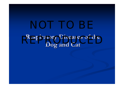### **Respiratory Diseases of the Dog and Cat Dog and Cat**  Respiratory Diseases of the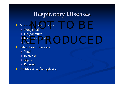# **Respiratory Diseases Respiratory Diseases**

### $\blacksquare$  Noninfectious Disease Fectious Disease

- Congenital Congenital
- **Degenerative**
- П Immune-mediated<br>I Toxic
- **T**oxic
- **Infectious Diseases** 
	- Viral
	- $\blacksquare$  Bacterial
	- $\blacksquare$  Mycotic
	- **Parasitic**
- Proliferative/neoplastic Proliferative/neoplastic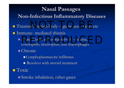### **Nasal Passages Nasal Passages Non -Infectious Inflammatory Diseases Infectious Inflammatory Diseases**  $\blacksquare$  Trauma/Foreign body  $\blacksquare$  $\mathcal{L}_{\mathcal{A}}$ r<br>Moreign body – grass seed, twig, etc **Immune- mediated rhinitis**  $\blacksquare$  Acute rhinitis and conjunctivitis  $\blacksquare$ **Holland** Construction – edema, eosinophils, neutrophils, and macrophages  $\blacksquare$  Chronic  $\blacksquare$ Lymphoplasmacytic infiltrates Resolves with steroid treatment Acute rhinitis and conjunctivitis – edema,

**T**oxic

 $\blacksquare$  Smoke inhalation, other gases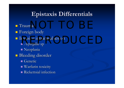# **Epistaxis Epistaxis Differentials Differentials**

**T**rauma  $\blacksquare$  Foreign body Invasive intranasal lesion *Aspergillus Aspergillus* sp  $\blacksquare$  Neoplasia **Bleeding disorder** Genetic Warfarin toxicity  $\blacksquare$  Rickettsial infection  $1a$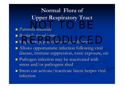# Normal Flora of **Upper Respiratory Tract Upper Respiratory Tract**

- *Pateurella Pateurella multocida multocida*  $N = N$
- *Bordetella Bordetella bronchiseptica bronchiseptica*
- *Boruetena oronumsepnaa*<br>■ Staph, strep, pseudomonads, coliforms
- Allows opportunistic infection following viral Allows opportunistic infection following viral disease, immune suppression, toxic exposure, etc
- Pathogen infection may be reactivated with Pathogen infection may be reactivated with stress and/or pathogens shed
- **Stress can activate/reactivate latent herpes viral** infection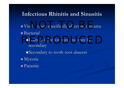## **Infectious Rhinitis and Sinusitis Infectious Rhinitis and Sinusitis**

- Viral –al – none specifically affecting this area  $\blacksquare$  Bacterial
	- **Primary infection rare, but may be** secondary
		- $\square$ Secondary to tooth root abscess
- $\blacksquare$  Mycotic Parasitic Parasitic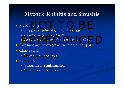## **Mycotic Rhinitis and Sinusitis**

### **Nycotic Agents** c Agents

- $\blacksquare$  *Aspergillus* sp (often dogs nasal passages)
- *Penicillium Penicillium* sp (as *Aspergillus Aspergillus sp*)
- **Cryptococcus neoformans** (often cats sinuses), *C. gatti* Cryptococcus neoformans (often cats - sinuses), C. gatti
- **Rhinosporidium** seeberi (may cause nasal polyps)
- **Clincal signs** 
	- $\blacksquare$  Mucopurulent discharge
- Pathology Pathology
	- Granulomatous inflammation
	- Can be invasive, into bone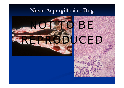## **Nasal Aspergillosis Aspergillosis - Dog**



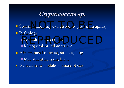**Cryptococcus sp. Cryptococcus sp.**

**Species: primarily cat, also dog (also marsupials) Pathology**  $\blacksquare$  Granulomatous nodules  $\blacksquare$  Mucopurulent inflammation  $\blacksquare$  Affects nasal mucosa, sinuses, lung  $\blacksquare$  May also affect skin, brain  $\blacksquare$ Subcutaneous nodules on nose of cats Granulomatous nodules